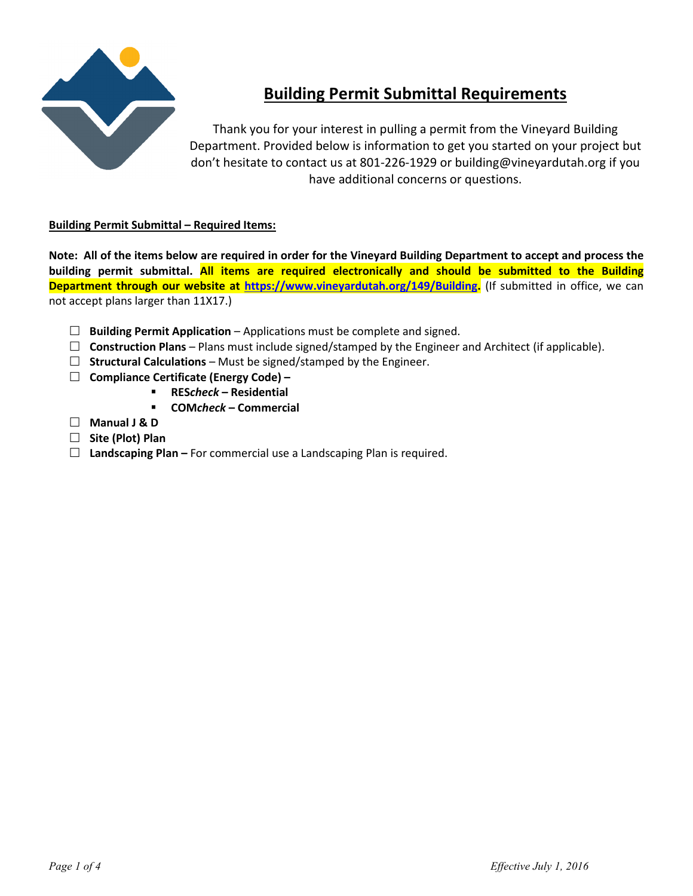

# **Building Permit Submittal Requirements**

Thank you for your interest in pulling a permit from the Vineyard Building Department. Provided below is information to get you started on your project but don't hesitate to contact us at 801-226-1929 or building@vineyardutah.org if you have additional concerns or questions.

# **Building Permit Submittal – Required Items:**

**Note: All of the items below are required in order for the Vineyard Building Department to accept and process the building permit submittal. All items are required electronically and should be submitted to the Building Department through our website at https://www.vineyardutah.org/149/Building.** (If submitted in office, we can not accept plans larger than 11X17.)

- **Building Permit Application** Applications must be complete and signed.
- $\Box$  **Construction Plans** Plans must include signed/stamped by the Engineer and Architect (if applicable).
- $\Box$  **Structural Calculations** Must be signed/stamped by the Engineer.
- **Compliance Certificate (Energy Code)** 
	- **RES***check* **Residential**
	- **COM***check* **Commercial**
- **Manual J & D**
- **Site (Plot) Plan**
- **Landscaping Plan** For commercial use a Landscaping Plan is required.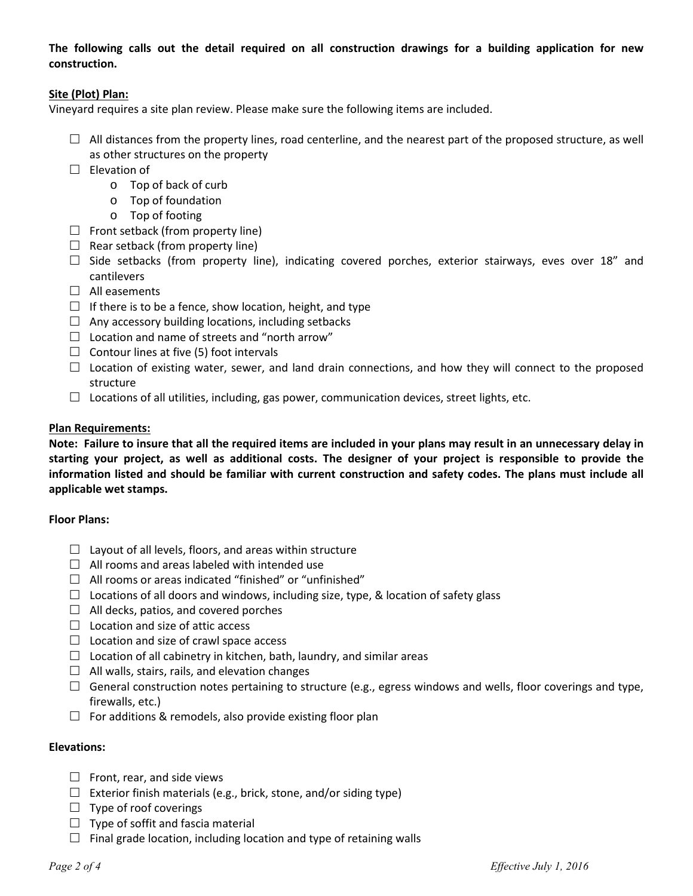**The following calls out the detail required on all construction drawings for a building application for new construction.** 

### **Site (Plot) Plan:**

Vineyard requires a site plan review. Please make sure the following items are included.

- $\Box$  All distances from the property lines, road centerline, and the nearest part of the proposed structure, as well as other structures on the property
- $\square$  Elevation of
	- o Top of back of curb
	- o Top of foundation
	- o Top of footing
- $\Box$  Front setback (from property line)
- $\Box$  Rear setback (from property line)
- $\Box$  Side setbacks (from property line), indicating covered porches, exterior stairways, eves over 18" and cantilevers
- $\Box$  All easements
- $\Box$  If there is to be a fence, show location, height, and type
- $\Box$  Any accessory building locations, including setbacks
- $\Box$  Location and name of streets and "north arrow"
- $\Box$  Contour lines at five (5) foot intervals
- $\Box$  Location of existing water, sewer, and land drain connections, and how they will connect to the proposed structure
- $\Box$  Locations of all utilities, including, gas power, communication devices, street lights, etc.

### **Plan Requirements:**

**Note: Failure to insure that all the required items are included in your plans may result in an unnecessary delay in starting your project, as well as additional costs. The designer of your project is responsible to provide the information listed and should be familiar with current construction and safety codes. The plans must include all applicable wet stamps.** 

### **Floor Plans:**

- $\Box$  Layout of all levels, floors, and areas within structure
- $\Box$  All rooms and areas labeled with intended use
- $\Box$  All rooms or areas indicated "finished" or "unfinished"
- $\Box$  Locations of all doors and windows, including size, type, & location of safety glass
- $\Box$  All decks, patios, and covered porches
- $\Box$  Location and size of attic access
- $\Box$  Location and size of crawl space access
- $\Box$  Location of all cabinetry in kitchen, bath, laundry, and similar areas
- $\Box$  All walls, stairs, rails, and elevation changes
- $\Box$  General construction notes pertaining to structure (e.g., egress windows and wells, floor coverings and type, firewalls, etc.)
- $\Box$  For additions & remodels, also provide existing floor plan

### **Elevations:**

- $\Box$  Front, rear, and side views
- $\Box$  Exterior finish materials (e.g., brick, stone, and/or siding type)
- $\Box$  Type of roof coverings
- $\Box$  Type of soffit and fascia material
- $\Box$  Final grade location, including location and type of retaining walls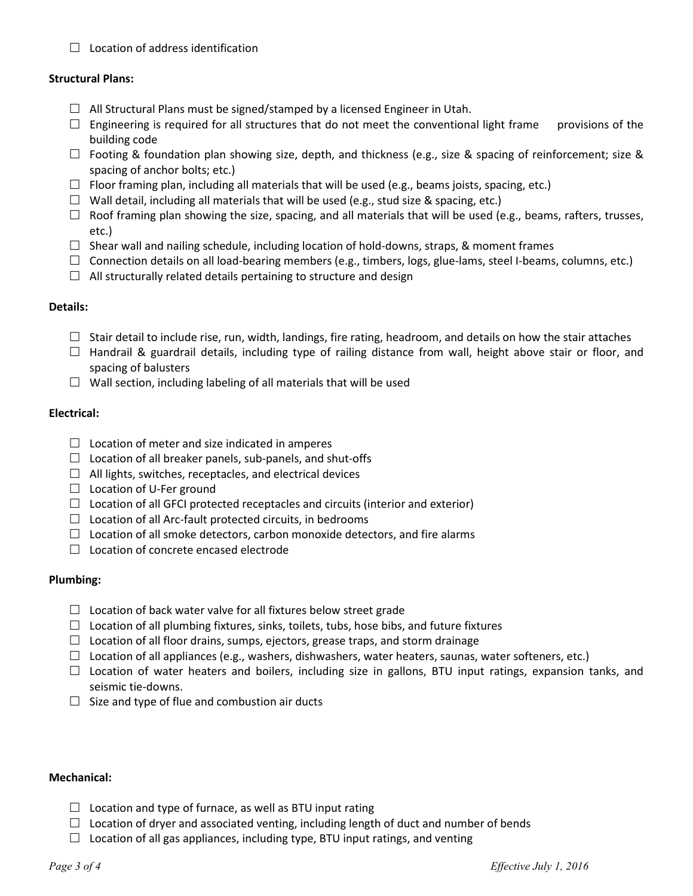$\Box$  Location of address identification

### **Structural Plans:**

- $\Box$  All Structural Plans must be signed/stamped by a licensed Engineer in Utah.
- $\Box$  Engineering is required for all structures that do not meet the conventional light frame provisions of the building code
- $\Box$  Footing & foundation plan showing size, depth, and thickness (e.g., size & spacing of reinforcement; size & spacing of anchor bolts; etc.)
- $\Box$  Floor framing plan, including all materials that will be used (e.g., beams joists, spacing, etc.)
- $\Box$  Wall detail, including all materials that will be used (e.g., stud size & spacing, etc.)
- $\Box$  Roof framing plan showing the size, spacing, and all materials that will be used (e.g., beams, rafters, trusses, etc.)
- $\Box$  Shear wall and nailing schedule, including location of hold-downs, straps, & moment frames
- $\Box$  Connection details on all load-bearing members (e.g., timbers, logs, glue-lams, steel I-beams, columns, etc.)
- $\Box$  All structurally related details pertaining to structure and design

### **Details:**

- $\Box$  Stair detail to include rise, run, width, landings, fire rating, headroom, and details on how the stair attaches
- $\Box$  Handrail & guardrail details, including type of railing distance from wall, height above stair or floor, and spacing of balusters
- $\Box$  Wall section, including labeling of all materials that will be used

## **Electrical:**

- $\Box$  Location of meter and size indicated in amperes
- $\Box$  Location of all breaker panels, sub-panels, and shut-offs
- $\Box$  All lights, switches, receptacles, and electrical devices
- $\Box$  Location of U-Fer ground
- $\Box$  Location of all GFCI protected receptacles and circuits (interior and exterior)
- $\Box$  Location of all Arc-fault protected circuits, in bedrooms
- $\Box$  Location of all smoke detectors, carbon monoxide detectors, and fire alarms
- $\Box$  Location of concrete encased electrode

### **Plumbing:**

- $\Box$  Location of back water valve for all fixtures below street grade
- $\Box$  Location of all plumbing fixtures, sinks, toilets, tubs, hose bibs, and future fixtures
- $\Box$  Location of all floor drains, sumps, ejectors, grease traps, and storm drainage
- $\Box$  Location of all appliances (e.g., washers, dishwashers, water heaters, saunas, water softeners, etc.)
- $\Box$  Location of water heaters and boilers, including size in gallons, BTU input ratings, expansion tanks, and seismic tie-downs.
- $\Box$  Size and type of flue and combustion air ducts

### **Mechanical:**

- $\Box$  Location and type of furnace, as well as BTU input rating
- $\Box$  Location of dryer and associated venting, including length of duct and number of bends
- $\Box$  Location of all gas appliances, including type, BTU input ratings, and venting